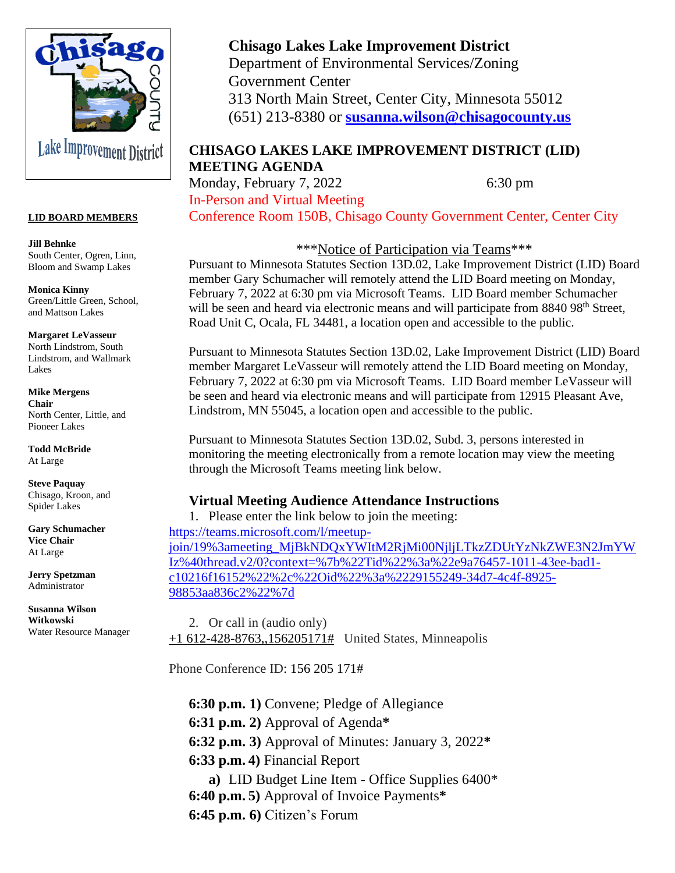

#### **LID BOARD MEMBERS**

**Jill Behnke** South Center, Ogren, Linn, Bloom and Swamp Lakes

**Monica Kinny** Green/Little Green, School, and Mattson Lakes

**Margaret LeVasseur** North Lindstrom, South Lindstrom, and Wallmark Lakes

**Mike Mergens Chair** North Center, Little, and Pioneer Lakes

**Todd McBride** At Large

**Steve Paquay** Chisago, Kroon, and Spider Lakes

**Gary Schumacher Vice Chair** At Large

**Jerry Spetzman** Administrator

**Susanna Wilson Witkowski** Water Resource Manager

# **Chisago Lakes Lake Improvement District**

Department of Environmental Services/Zoning Government Center 313 North Main Street, Center City, Minnesota 55012 (651) 213-8380 or **[susanna.wilson@chisagocounty.us](mailto:susanna.wilson@cisagoo.chisago.mn.us)**

## **CHISAGO LAKES LAKE IMPROVEMENT DISTRICT (LID) MEETING AGENDA**

Monday, February 7, 2022 6:30 pm In-Person and Virtual Meeting

Conference Room 150B, Chisago County Government Center, Center City

\*\*\*Notice of Participation via Teams\*\*\*

Pursuant to Minnesota Statutes Section 13D.02, Lake Improvement District (LID) Board member Gary Schumacher will remotely attend the LID Board meeting on Monday, February 7, 2022 at 6:30 pm via Microsoft Teams. LID Board member Schumacher will be seen and heard via electronic means and will participate from 8840 98<sup>th</sup> Street, Road Unit C, Ocala, FL 34481, a location open and accessible to the public.

Pursuant to Minnesota Statutes Section 13D.02, Lake Improvement District (LID) Board member Margaret LeVasseur will remotely attend the LID Board meeting on Monday, February 7, 2022 at 6:30 pm via Microsoft Teams. LID Board member LeVasseur will be seen and heard via electronic means and will participate from 12915 Pleasant Ave, Lindstrom, MN 55045, a location open and accessible to the public.

Pursuant to Minnesota Statutes Section 13D.02, Subd. 3, persons interested in monitoring the meeting electronically from a remote location may view the meeting through the Microsoft Teams meeting link below.

## **Virtual Meeting Audience Attendance Instructions**

1. Please enter the link below to join the meeting: [https://teams.microsoft.com/l/meetup](https://teams.microsoft.com/l/meetup-join/19%3ameeting_MjBkNDQxYWItM2RjMi00NjljLTkzZDUtYzNkZWE3N2JmYWIz%40thread.v2/0?context=%7b%22Tid%22%3a%22e9a76457-1011-43ee-bad1-c10216f16152%22%2c%22Oid%22%3a%2229155249-34d7-4c4f-8925-98853aa836c2%22%7d)[join/19%3ameeting\\_MjBkNDQxYWItM2RjMi00NjljLTkzZDUtYzNkZWE3N2JmYW](https://teams.microsoft.com/l/meetup-join/19%3ameeting_MjBkNDQxYWItM2RjMi00NjljLTkzZDUtYzNkZWE3N2JmYWIz%40thread.v2/0?context=%7b%22Tid%22%3a%22e9a76457-1011-43ee-bad1-c10216f16152%22%2c%22Oid%22%3a%2229155249-34d7-4c4f-8925-98853aa836c2%22%7d) [Iz%40thread.v2/0?context=%7b%22Tid%22%3a%22e9a76457-1011-43ee-bad1](https://teams.microsoft.com/l/meetup-join/19%3ameeting_MjBkNDQxYWItM2RjMi00NjljLTkzZDUtYzNkZWE3N2JmYWIz%40thread.v2/0?context=%7b%22Tid%22%3a%22e9a76457-1011-43ee-bad1-c10216f16152%22%2c%22Oid%22%3a%2229155249-34d7-4c4f-8925-98853aa836c2%22%7d) [c10216f16152%22%2c%22Oid%22%3a%2229155249-34d7-4c4f-8925-](https://teams.microsoft.com/l/meetup-join/19%3ameeting_MjBkNDQxYWItM2RjMi00NjljLTkzZDUtYzNkZWE3N2JmYWIz%40thread.v2/0?context=%7b%22Tid%22%3a%22e9a76457-1011-43ee-bad1-c10216f16152%22%2c%22Oid%22%3a%2229155249-34d7-4c4f-8925-98853aa836c2%22%7d) [98853aa836c2%22%7d](https://teams.microsoft.com/l/meetup-join/19%3ameeting_MjBkNDQxYWItM2RjMi00NjljLTkzZDUtYzNkZWE3N2JmYWIz%40thread.v2/0?context=%7b%22Tid%22%3a%22e9a76457-1011-43ee-bad1-c10216f16152%22%2c%22Oid%22%3a%2229155249-34d7-4c4f-8925-98853aa836c2%22%7d)

2. Or call in (audio only) [+1 612-428-8763,,156205171#](tel:+16124288763,,156205171# ) United States, Minneapolis

Phone Conference ID: 156 205 171#

**6:30 p.m. 1)** Convene; Pledge of Allegiance

- **6:31 p.m. 2)** Approval of Agenda**\***
- **6:32 p.m. 3)** Approval of Minutes: January 3, 2022**\***
- **6:33 p.m. 4)** Financial Report
- **a)** LID Budget Line Item Office Supplies 6400\* **6:40 p.m. 5)** Approval of Invoice Payments**\***
- **6:45 p.m. 6)** Citizen's Forum